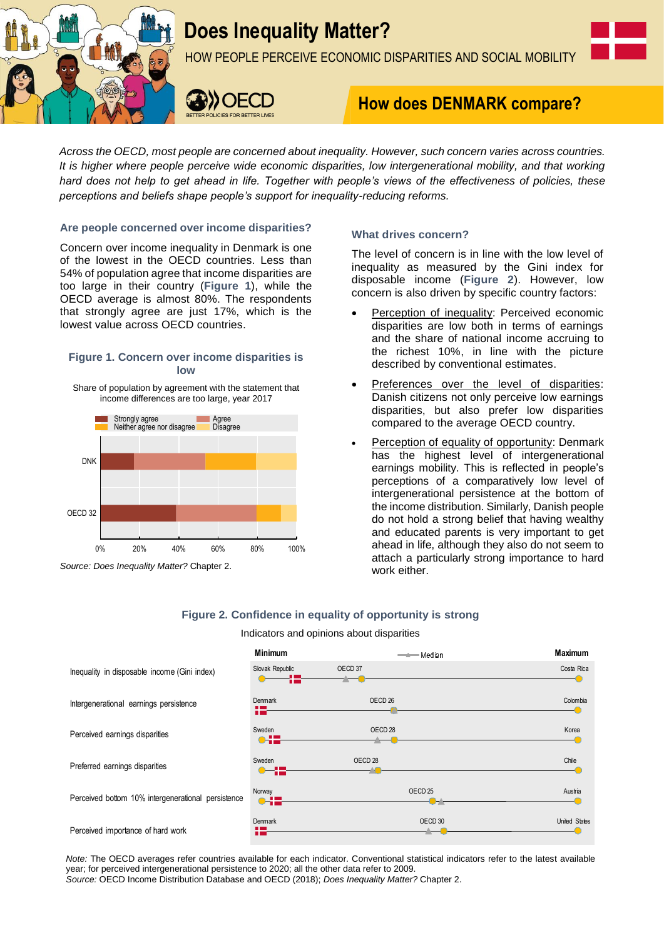

# **Does Inequality Matter?**

HOW PEOPLE PERCEIVE ECONOMIC DISPARITIES AND SOCIAL MOBILITY



# **How does DENMARK compare?**

*Across the OECD, most people are concerned about inequality. However, such concern varies across countries. It is higher where people perceive wide economic disparities, low intergenerational mobility, and that working hard does not help to get ahead in life. Together with people's views of the effectiveness of policies, these perceptions and beliefs shape people's support for inequality-reducing reforms.*

#### **Are people concerned over income disparities?**

Concern over income inequality in Denmark is one of the lowest in the OECD countries. Less than 54% of population agree that income disparities are too large in their country (**Figure 1**), while the OECD average is almost 80%. The respondents that strongly agree are just 17%, which is the lowest value across OECD countries.

#### **Figure 1. Concern over income disparities is low**

Share of population by agreement with the statement that income differences are too large, year 2017



*Source: Does Inequality Matter?* Chapter 2.

### **What drives concern?**

The level of concern is in line with the low level of inequality as measured by the Gini index for disposable income (**Figure 2**). However, low concern is also driven by specific country factors:

- Perception of inequality: Perceived economic disparities are low both in terms of earnings and the share of national income accruing to the richest 10%, in line with the picture described by conventional estimates.
- Preferences over the level of disparities: Danish citizens not only perceive low earnings disparities, but also prefer low disparities compared to the average OECD country.
- Perception of equality of opportunity: Denmark has the highest level of intergenerational earnings mobility. This is reflected in people's perceptions of a comparatively low level of intergenerational persistence at the bottom of the income distribution. Similarly, Danish people do not hold a strong belief that having wealthy and educated parents is very important to get ahead in life, although they also do not seem to attach a particularly strong importance to hard work either.

## **Figure 2. Confidence in equality of opportunity is strong**

#### Indicators and opinions about disparities

|                                                                                                                                                                                                                                                                                                                                          | <b>Minimum</b>                  | — <del>4</del> Median | <b>Maximum</b>       |
|------------------------------------------------------------------------------------------------------------------------------------------------------------------------------------------------------------------------------------------------------------------------------------------------------------------------------------------|---------------------------------|-----------------------|----------------------|
| Inequality in disposable income (Gini index)                                                                                                                                                                                                                                                                                             | Slovak Republic                 | OECD <sub>37</sub>    | Costa Rica           |
| Intergenerational earnings persistence                                                                                                                                                                                                                                                                                                   | Denmark<br>12-                  | OECD <sub>26</sub>    | Colombia             |
| Perceived earnings disparities                                                                                                                                                                                                                                                                                                           | Sweden<br>$\bullet$             | OECD <sub>28</sub>    | Korea                |
| Preferred earnings disparities                                                                                                                                                                                                                                                                                                           | Sweden<br>$\bullet\text{--i}$ . | OECD <sub>28</sub>    | Chile                |
| Perceived bottom 10% intergenerational persistence                                                                                                                                                                                                                                                                                       | Norway<br>$\bullet$             | OECD <sub>25</sub>    | Austria              |
| Perceived importance of hard work                                                                                                                                                                                                                                                                                                        | <b>Denmark</b><br>12-           | OECD 30               | <b>United States</b> |
| Note: The OECD averages refer countries available for each indicator. Conventional statistical indicators refer to the latest available<br>year; for perceived intergenerational persistence to 2020; all the other data refer to 2009.<br>Source: OECD Income Distribution Database and OECD (2018); Does Inequality Matter? Chapter 2. |                                 |                       |                      |